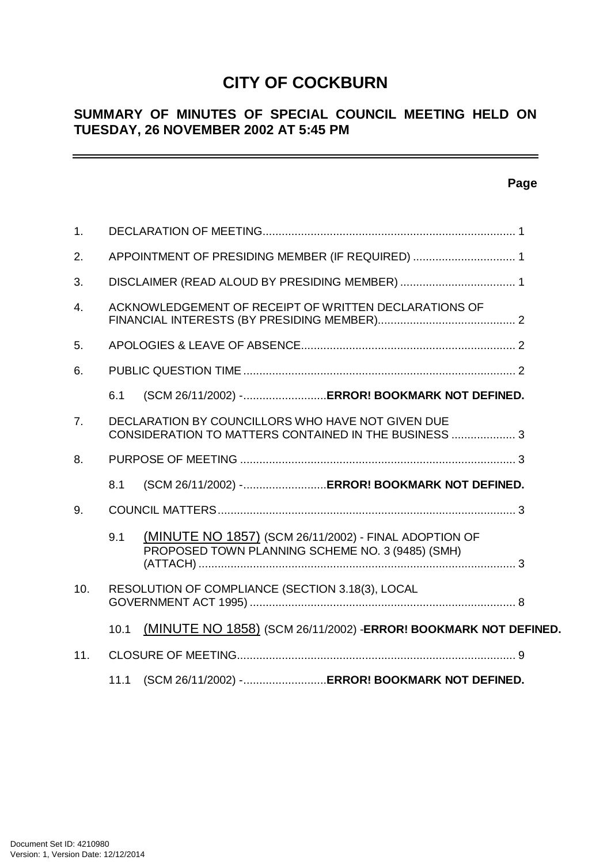# **CITY OF COCKBURN**

## **SUMMARY OF MINUTES OF SPECIAL COUNCIL MEETING HELD ON TUESDAY, 26 NOVEMBER 2002 AT 5:45 PM**

## **Page**

 $\overline{\phantom{0}}$ 

| 1.             |                                                       |                                                                                                            |  |  |  |  |
|----------------|-------------------------------------------------------|------------------------------------------------------------------------------------------------------------|--|--|--|--|
| 2.             | APPOINTMENT OF PRESIDING MEMBER (IF REQUIRED)  1      |                                                                                                            |  |  |  |  |
| 3.             |                                                       |                                                                                                            |  |  |  |  |
| 4.             | ACKNOWLEDGEMENT OF RECEIPT OF WRITTEN DECLARATIONS OF |                                                                                                            |  |  |  |  |
| 5.             |                                                       |                                                                                                            |  |  |  |  |
| 6.             |                                                       |                                                                                                            |  |  |  |  |
|                | 6.1                                                   | (SCM 26/11/2002) -         ERROR! BOOKMARK NOT DEFINED.                                                    |  |  |  |  |
| 7 <sub>1</sub> |                                                       | DECLARATION BY COUNCILLORS WHO HAVE NOT GIVEN DUE<br>CONSIDERATION TO MATTERS CONTAINED IN THE BUSINESS  3 |  |  |  |  |
| 8.             |                                                       |                                                                                                            |  |  |  |  |
|                | 8.1                                                   | (SCM 26/11/2002) - ERROR! BOOKMARK NOT DEFINED.                                                            |  |  |  |  |
| 9.             |                                                       |                                                                                                            |  |  |  |  |
|                | 9.1                                                   | (MINUTE NO 1857) (SCM 26/11/2002) - FINAL ADOPTION OF<br>PROPOSED TOWN PLANNING SCHEME NO. 3 (9485) (SMH)  |  |  |  |  |
| 10.            |                                                       | RESOLUTION OF COMPLIANCE (SECTION 3.18(3), LOCAL                                                           |  |  |  |  |
|                | 10.1                                                  | (MINUTE NO 1858) (SCM 26/11/2002) - ERROR! BOOKMARK NOT DEFINED.                                           |  |  |  |  |
| 11.            |                                                       |                                                                                                            |  |  |  |  |
|                |                                                       | 11.1 (SCM 26/11/2002) - ERROR! BOOKMARK NOT DEFINED.                                                       |  |  |  |  |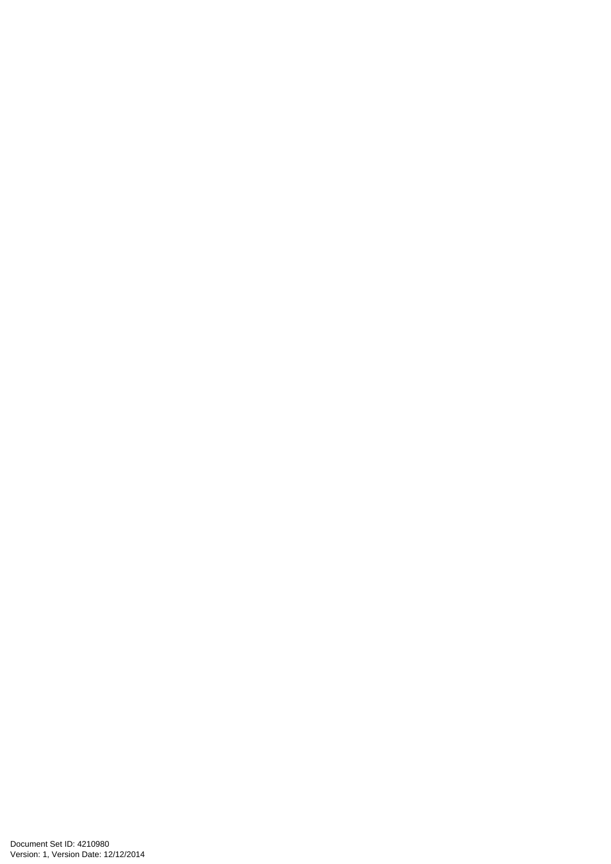Document Set ID: 4210980<br>Version: 1, Version Date: 12/12/2014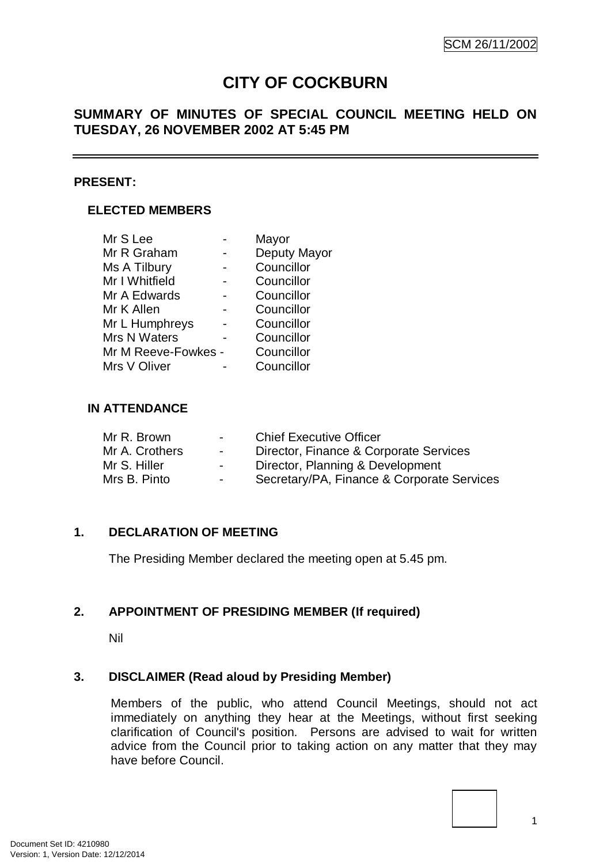# **CITY OF COCKBURN**

## **SUMMARY OF MINUTES OF SPECIAL COUNCIL MEETING HELD ON TUESDAY, 26 NOVEMBER 2002 AT 5:45 PM**

#### **PRESENT:**

## **ELECTED MEMBERS**

| Mr S Lee            | Mayor        |
|---------------------|--------------|
| Mr R Graham         | Deputy Mayor |
| Ms A Tilbury        | Councillor   |
| Mr I Whitfield      | Councillor   |
| Mr A Edwards        | Councillor   |
| Mr K Allen          | Councillor   |
| Mr L Humphreys      | Councillor   |
| <b>Mrs N Waters</b> | Councillor   |
| Mr M Reeve-Fowkes - | Councillor   |
| Mrs V Oliver        | Councillor   |
|                     |              |

#### **IN ATTENDANCE**

| Mr R. Brown    | $\blacksquare$ | <b>Chief Executive Officer</b>             |
|----------------|----------------|--------------------------------------------|
| Mr A. Crothers | $\sim$         | Director, Finance & Corporate Services     |
| Mr S. Hiller   | $\blacksquare$ | Director, Planning & Development           |
| Mrs B. Pinto   | $\blacksquare$ | Secretary/PA, Finance & Corporate Services |

## **1. DECLARATION OF MEETING**

The Presiding Member declared the meeting open at 5.45 pm.

## **2. APPOINTMENT OF PRESIDING MEMBER (If required)**

Nil

#### **3. DISCLAIMER (Read aloud by Presiding Member)**

Members of the public, who attend Council Meetings, should not act immediately on anything they hear at the Meetings, without first seeking clarification of Council's position. Persons are advised to wait for written advice from the Council prior to taking action on any matter that they may have before Council.

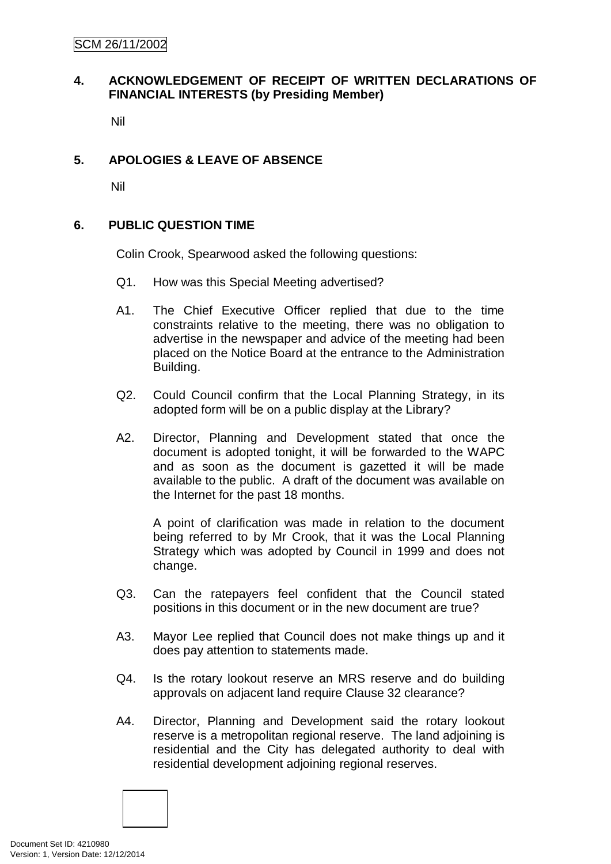## **4. ACKNOWLEDGEMENT OF RECEIPT OF WRITTEN DECLARATIONS OF FINANCIAL INTERESTS (by Presiding Member)**

Nil

## **5. APOLOGIES & LEAVE OF ABSENCE**

Nil

## **6. PUBLIC QUESTION TIME**

Colin Crook, Spearwood asked the following questions:

- Q1. How was this Special Meeting advertised?
- A1. The Chief Executive Officer replied that due to the time constraints relative to the meeting, there was no obligation to advertise in the newspaper and advice of the meeting had been placed on the Notice Board at the entrance to the Administration Building.
- Q2. Could Council confirm that the Local Planning Strategy, in its adopted form will be on a public display at the Library?
- A2. Director, Planning and Development stated that once the document is adopted tonight, it will be forwarded to the WAPC and as soon as the document is gazetted it will be made available to the public. A draft of the document was available on the Internet for the past 18 months.

A point of clarification was made in relation to the document being referred to by Mr Crook, that it was the Local Planning Strategy which was adopted by Council in 1999 and does not change.

- Q3. Can the ratepayers feel confident that the Council stated positions in this document or in the new document are true?
- A3. Mayor Lee replied that Council does not make things up and it does pay attention to statements made.
- Q4. Is the rotary lookout reserve an MRS reserve and do building approvals on adjacent land require Clause 32 clearance?
- A4. Director, Planning and Development said the rotary lookout reserve is a metropolitan regional reserve. The land adjoining is residential and the City has delegated authority to deal with residential development adjoining regional reserves.

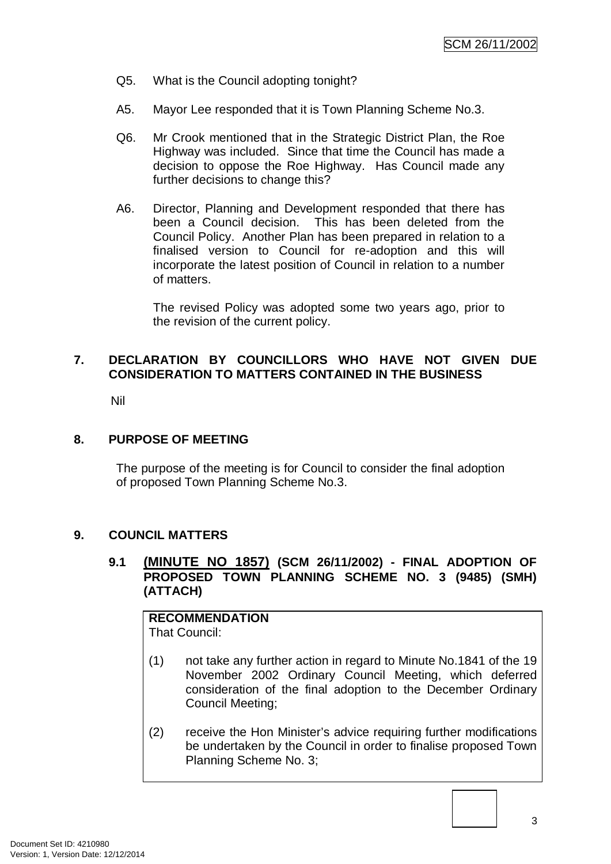- Q5. What is the Council adopting tonight?
- A5. Mayor Lee responded that it is Town Planning Scheme No.3.
- Q6. Mr Crook mentioned that in the Strategic District Plan, the Roe Highway was included. Since that time the Council has made a decision to oppose the Roe Highway. Has Council made any further decisions to change this?
- A6. Director, Planning and Development responded that there has been a Council decision. This has been deleted from the Council Policy. Another Plan has been prepared in relation to a finalised version to Council for re-adoption and this will incorporate the latest position of Council in relation to a number of matters.

The revised Policy was adopted some two years ago, prior to the revision of the current policy.

#### **7. DECLARATION BY COUNCILLORS WHO HAVE NOT GIVEN DUE CONSIDERATION TO MATTERS CONTAINED IN THE BUSINESS**

Nil

#### **8. PURPOSE OF MEETING**

The purpose of the meeting is for Council to consider the final adoption of proposed Town Planning Scheme No.3.

#### **9. COUNCIL MATTERS**

#### **9.1 (MINUTE NO 1857) (SCM 26/11/2002) - FINAL ADOPTION OF PROPOSED TOWN PLANNING SCHEME NO. 3 (9485) (SMH) (ATTACH)**

## **RECOMMENDATION**

That Council:

- (1) not take any further action in regard to Minute No.1841 of the 19 November 2002 Ordinary Council Meeting, which deferred consideration of the final adoption to the December Ordinary Council Meeting;
- (2) receive the Hon Minister's advice requiring further modifications be undertaken by the Council in order to finalise proposed Town Planning Scheme No. 3;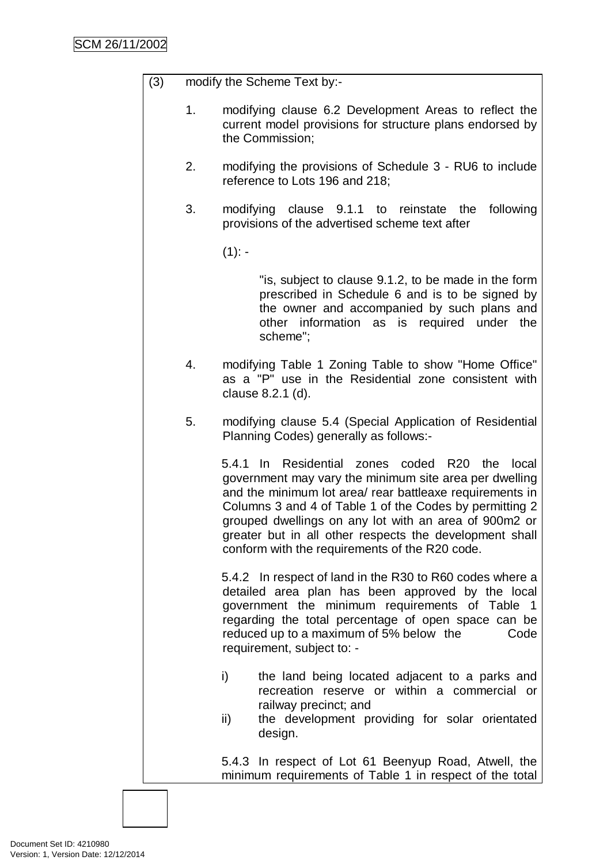#### (3) modify the Scheme Text by:-

- 1. modifying clause 6.2 Development Areas to reflect the current model provisions for structure plans endorsed by the Commission;
- 2. modifying the provisions of Schedule 3 RU6 to include reference to Lots 196 and 218;
- 3. modifying clause 9.1.1 to reinstate the following provisions of the advertised scheme text after
	- $(1)$ : -

"is, subject to clause 9.1.2, to be made in the form prescribed in Schedule 6 and is to be signed by the owner and accompanied by such plans and other information as is required under the scheme";

- 4. modifying Table 1 Zoning Table to show "Home Office" as a "P" use in the Residential zone consistent with clause 8.2.1 (d).
- 5. modifying clause 5.4 (Special Application of Residential Planning Codes) generally as follows:-

5.4.1 In Residential zones coded R20 the local government may vary the minimum site area per dwelling and the minimum lot area/ rear battleaxe requirements in Columns 3 and 4 of Table 1 of the Codes by permitting 2 grouped dwellings on any lot with an area of 900m2 or greater but in all other respects the development shall conform with the requirements of the R20 code.

5.4.2 In respect of land in the R30 to R60 codes where a detailed area plan has been approved by the local government the minimum requirements of Table 1 regarding the total percentage of open space can be reduced up to a maximum of 5% below the Code requirement, subject to: -

- i) the land being located adjacent to a parks and recreation reserve or within a commercial or railway precinct; and
- ii) the development providing for solar orientated design.

5.4.3 In respect of Lot 61 Beenyup Road, Atwell, the minimum requirements of Table 1 in respect of the total

4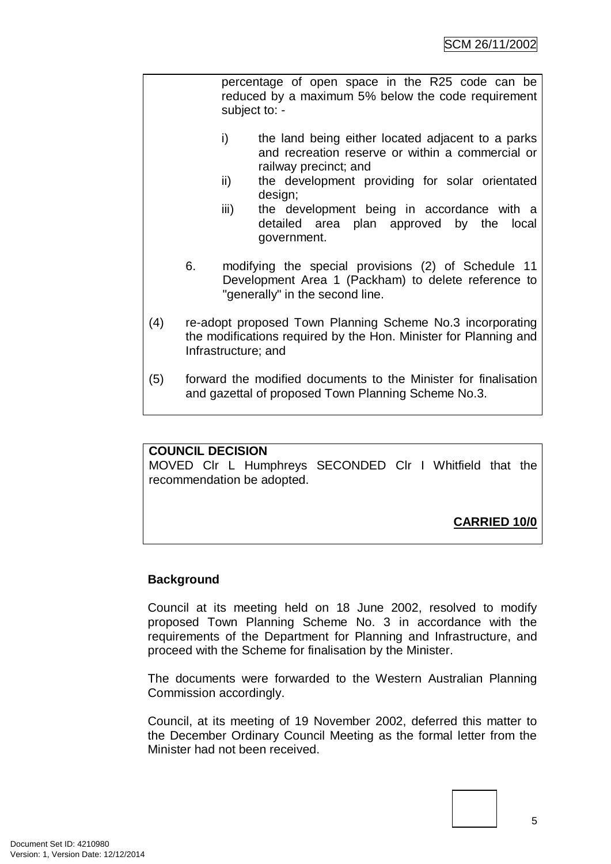percentage of open space in the R25 code can be reduced by a maximum 5% below the code requirement subject to: -

- i) the land being either located adjacent to a parks and recreation reserve or within a commercial or railway precinct; and
- ii) the development providing for solar orientated design;
- iii) the development being in accordance with a detailed area plan approved by the local government.
- 6. modifying the special provisions (2) of Schedule 11 Development Area 1 (Packham) to delete reference to "generally" in the second line.
- (4) re-adopt proposed Town Planning Scheme No.3 incorporating the modifications required by the Hon. Minister for Planning and Infrastructure; and
- (5) forward the modified documents to the Minister for finalisation and gazettal of proposed Town Planning Scheme No.3.

#### **COUNCIL DECISION**

MOVED Clr L Humphreys SECONDED Clr I Whitfield that the recommendation be adopted.

## **CARRIED 10/0**

#### **Background**

Council at its meeting held on 18 June 2002, resolved to modify proposed Town Planning Scheme No. 3 in accordance with the requirements of the Department for Planning and Infrastructure, and proceed with the Scheme for finalisation by the Minister.

The documents were forwarded to the Western Australian Planning Commission accordingly.

Council, at its meeting of 19 November 2002, deferred this matter to the December Ordinary Council Meeting as the formal letter from the Minister had not been received.

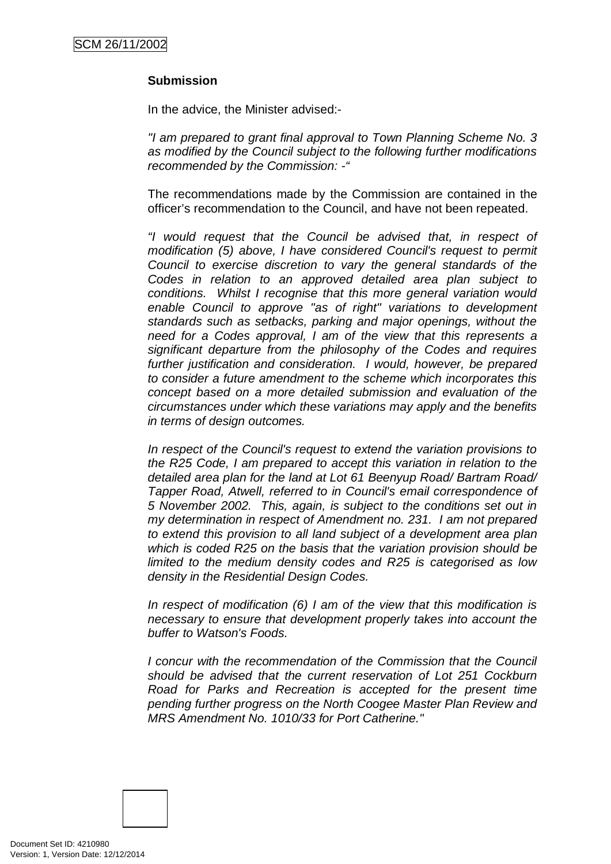#### **Submission**

In the advice, the Minister advised:-

*"I am prepared to grant final approval to Town Planning Scheme No. 3 as modified by the Council subject to the following further modifications recommended by the Commission: -"*

The recommendations made by the Commission are contained in the officer's recommendation to the Council, and have not been repeated.

*"I would request that the Council be advised that, in respect of modification (5) above, I have considered Council's request to permit Council to exercise discretion to vary the general standards of the Codes in relation to an approved detailed area plan subject to conditions. Whilst I recognise that this more general variation would enable Council to approve "as of right" variations to development standards such as setbacks, parking and major openings, without the need for a Codes approval, I am of the view that this represents a significant departure from the philosophy of the Codes and requires further justification and consideration. I would, however, be prepared to consider a future amendment to the scheme which incorporates this concept based on a more detailed submission and evaluation of the circumstances under which these variations may apply and the benefits in terms of design outcomes.*

*In respect of the Council's request to extend the variation provisions to the R25 Code, I am prepared to accept this variation in relation to the detailed area plan for the land at Lot 61 Beenyup Road/ Bartram Road/ Tapper Road, Atwell, referred to in Council's email correspondence of 5 November 2002. This, again, is subject to the conditions set out in my determination in respect of Amendment no. 231. I am not prepared to extend this provision to all land subject of a development area plan which is coded R25 on the basis that the variation provision should be limited to the medium density codes and R25 is categorised as low density in the Residential Design Codes.*

*In respect of modification (6) I am of the view that this modification is necessary to ensure that development properly takes into account the buffer to Watson's Foods.*

*I concur with the recommendation of the Commission that the Council should be advised that the current reservation of Lot 251 Cockburn Road for Parks and Recreation is accepted for the present time pending further progress on the North Coogee Master Plan Review and MRS Amendment No. 1010/33 for Port Catherine."*

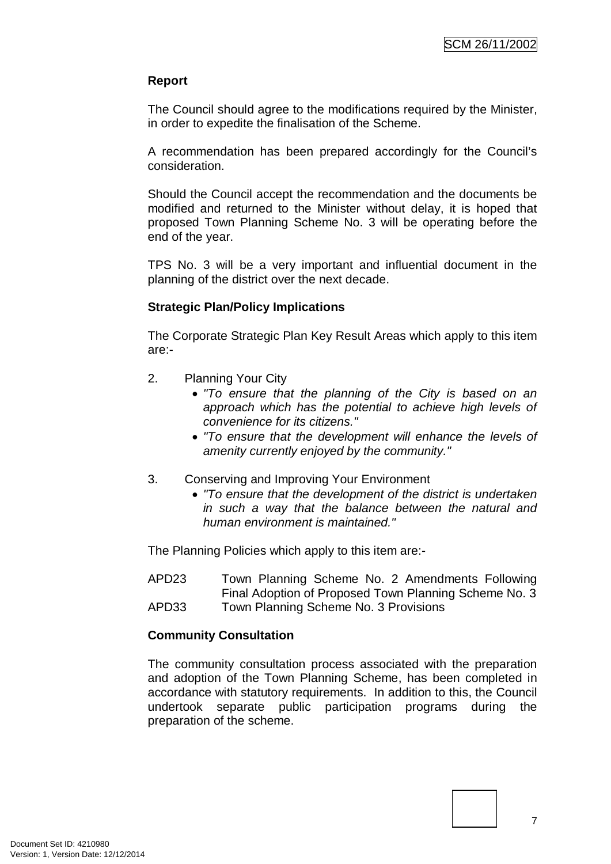## **Report**

The Council should agree to the modifications required by the Minister, in order to expedite the finalisation of the Scheme.

A recommendation has been prepared accordingly for the Council's consideration.

Should the Council accept the recommendation and the documents be modified and returned to the Minister without delay, it is hoped that proposed Town Planning Scheme No. 3 will be operating before the end of the year.

TPS No. 3 will be a very important and influential document in the planning of the district over the next decade.

#### **Strategic Plan/Policy Implications**

The Corporate Strategic Plan Key Result Areas which apply to this item are:-

- 2. Planning Your City
	- *"To ensure that the planning of the City is based on an approach which has the potential to achieve high levels of convenience for its citizens."*
	- *"To ensure that the development will enhance the levels of amenity currently enjoyed by the community."*
- 3. Conserving and Improving Your Environment
	- *"To ensure that the development of the district is undertaken in such a way that the balance between the natural and human environment is maintained."*

The Planning Policies which apply to this item are:-

APD23 Town Planning Scheme No. 2 Amendments Following Final Adoption of Proposed Town Planning Scheme No. 3 APD33 Town Planning Scheme No. 3 Provisions

#### **Community Consultation**

The community consultation process associated with the preparation and adoption of the Town Planning Scheme, has been completed in accordance with statutory requirements. In addition to this, the Council undertook separate public participation programs during the preparation of the scheme.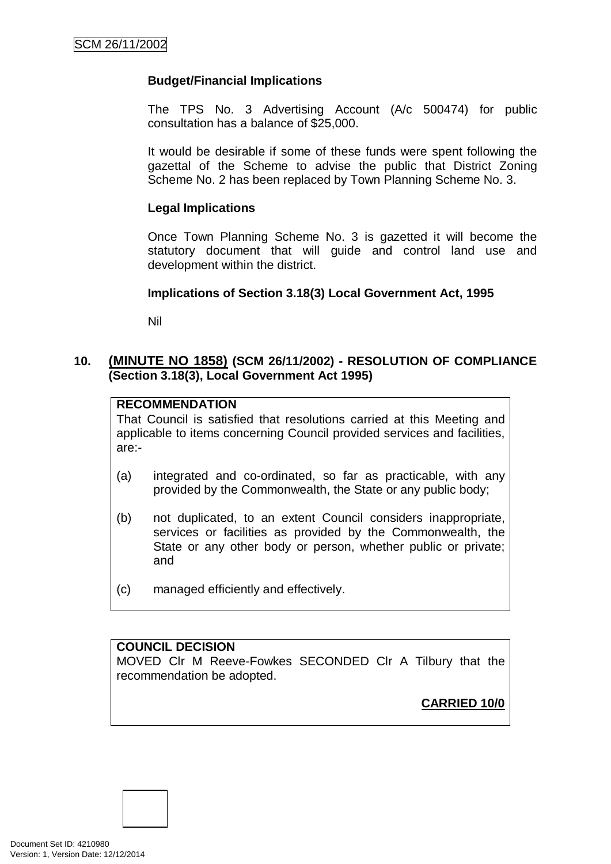#### **Budget/Financial Implications**

The TPS No. 3 Advertising Account (A/c 500474) for public consultation has a balance of \$25,000.

It would be desirable if some of these funds were spent following the gazettal of the Scheme to advise the public that District Zoning Scheme No. 2 has been replaced by Town Planning Scheme No. 3.

#### **Legal Implications**

Once Town Planning Scheme No. 3 is gazetted it will become the statutory document that will guide and control land use and development within the district.

## **Implications of Section 3.18(3) Local Government Act, 1995**

Nil

## **10. (MINUTE NO 1858) (SCM 26/11/2002) - RESOLUTION OF COMPLIANCE (Section 3.18(3), Local Government Act 1995)**

## **RECOMMENDATION**

That Council is satisfied that resolutions carried at this Meeting and applicable to items concerning Council provided services and facilities, are:-

- (a) integrated and co-ordinated, so far as practicable, with any provided by the Commonwealth, the State or any public body;
- (b) not duplicated, to an extent Council considers inappropriate, services or facilities as provided by the Commonwealth, the State or any other body or person, whether public or private; and
- (c) managed efficiently and effectively.

#### **COUNCIL DECISION**

MOVED Clr M Reeve-Fowkes SECONDED Clr A Tilbury that the recommendation be adopted.

**CARRIED 10/0**